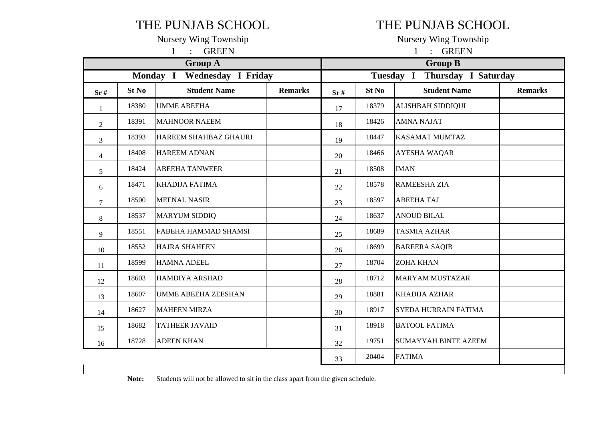## THE PUNJAB SCHOOL THE PUNJAB SCHOOL

1 : GREEN 1 : GREEN

|                | <b>Group A</b> |                                       |                |     | <b>Group B</b> |                                  |                |  |  |  |
|----------------|----------------|---------------------------------------|----------------|-----|----------------|----------------------------------|----------------|--|--|--|
|                |                | <b>Wednesday I Friday</b><br>Monday I |                |     |                | Thursday I Saturday<br>Tuesday I |                |  |  |  |
| Sr#            | St No          | <b>Student Name</b>                   | <b>Remarks</b> | Sr# | St No          | <b>Student Name</b>              | <b>Remarks</b> |  |  |  |
| 1              | 18380          | <b>UMME ABEEHA</b>                    |                | 17  | 18379          | ALISHBAH SIDDIQUI                |                |  |  |  |
| $\overline{2}$ | 18391          | <b>MAHNOOR NAEEM</b>                  |                | 18  | 18426          | <b>AMNA NAJAT</b>                |                |  |  |  |
| 3              | 18393          | HAREEM SHAHBAZ GHAURI                 |                | 19  | 18447          | <b>KASAMAT MUMTAZ</b>            |                |  |  |  |
| $\overline{4}$ | 18408          | <b>HAREEM ADNAN</b>                   |                | 20  | 18466          | AYESHA WAQAR                     |                |  |  |  |
| 5              | 18424          | <b>ABEEHA TANWEER</b>                 |                | 21  | 18508          | <b>IMAN</b>                      |                |  |  |  |
| 6              | 18471          | <b>KHADIJA FATIMA</b>                 |                | 22  | 18578          | <b>RAMEESHA ZIA</b>              |                |  |  |  |
| 7              | 18500          | <b>MEENAL NASIR</b>                   |                | 23  | 18597          | <b>ABEEHA TAJ</b>                |                |  |  |  |
| 8              | 18537          | <b>MARYUM SIDDIQ</b>                  |                | 24  | 18637          | <b>ANOUD BILAL</b>               |                |  |  |  |
| 9              | 18551          | <b>FABEHA HAMMAD SHAMSI</b>           |                | 25  | 18689          | <b>TASMIA AZHAR</b>              |                |  |  |  |
| 10             | 18552          | <b>HAJRA SHAHEEN</b>                  |                | 26  | 18699          | <b>BAREERA SAQIB</b>             |                |  |  |  |
| 11             | 18599          | <b>HAMNA ADEEL</b>                    |                | 27  | 18704          | <b>ZOHA KHAN</b>                 |                |  |  |  |
| 12             | 18603          | <b>HAMDIYA ARSHAD</b>                 |                | 28  | 18712          | <b>MARYAM MUSTAZAR</b>           |                |  |  |  |
| 13             | 18607          | <b>UMME ABEEHA ZEESHAN</b>            |                | 29  | 18881          | KHADIJA AZHAR                    |                |  |  |  |
| 14             | 18627          | <b>MAHEEN MIRZA</b>                   |                | 30  | 18917          | SYEDA HURRAIN FATIMA             |                |  |  |  |
| 15             | 18682          | <b>TATHEER JAVAID</b>                 |                | 31  | 18918          | <b>BATOOL FATIMA</b>             |                |  |  |  |
| 16             | 18728          | <b>ADEEN KHAN</b>                     |                | 32  | 19751          | <b>SUMAYYAH BINTE AZEEM</b>      |                |  |  |  |
|                |                |                                       |                | 33  | 20404          | <b>FATIMA</b>                    |                |  |  |  |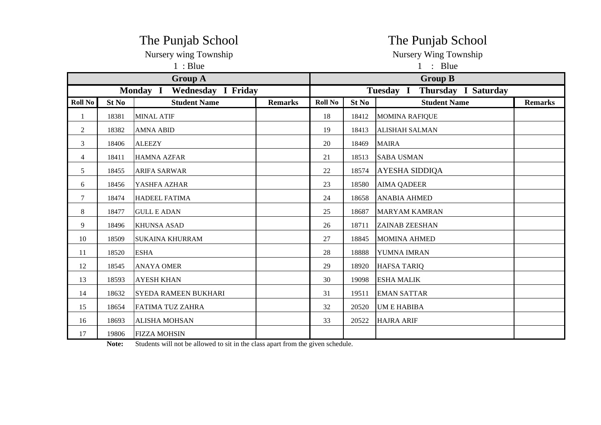|                |       | The Punjab School                                                               |                | The Punjab School     |       |                                                    |                |  |  |  |
|----------------|-------|---------------------------------------------------------------------------------|----------------|-----------------------|-------|----------------------------------------------------|----------------|--|--|--|
|                |       | Nursery wing Township                                                           |                | Nursery Wing Township |       |                                                    |                |  |  |  |
|                |       | 1:Blue                                                                          |                | 1 : Blue              |       |                                                    |                |  |  |  |
|                |       | <b>Group A</b><br>Monday I<br><b>Wednesday I Friday</b>                         |                |                       |       | <b>Group B</b><br>Tuesday I<br>Thursday I Saturday |                |  |  |  |
| <b>Roll No</b> | St No | <b>Student Name</b>                                                             | <b>Remarks</b> | <b>Roll No</b>        | St No | <b>Student Name</b>                                | <b>Remarks</b> |  |  |  |
|                | 18381 | <b>MINAL ATIF</b>                                                               |                | 18                    | 18412 | <b>MOMINA RAFIQUE</b>                              |                |  |  |  |
| 2              | 18382 | <b>AMNA ABID</b>                                                                |                | 19                    | 18413 | <b>ALISHAH SALMAN</b>                              |                |  |  |  |
| 3              | 18406 | <b>ALEEZY</b>                                                                   |                | 20                    | 18469 | <b>MAIRA</b>                                       |                |  |  |  |
| 4              | 18411 | <b>HAMNA AZFAR</b>                                                              |                | 21                    | 18513 | <b>SABA USMAN</b>                                  |                |  |  |  |
| 5              | 18455 | <b>ARIFA SARWAR</b>                                                             |                | 22                    | 18574 | <b>AYESHA SIDDIQA</b>                              |                |  |  |  |
| 6              | 18456 | YASHFA AZHAR                                                                    |                | 23                    | 18580 | <b>AIMA QADEER</b>                                 |                |  |  |  |
| 7              | 18474 | HADEEL FATIMA                                                                   |                | 24                    | 18658 | <b>ANABIA AHMED</b>                                |                |  |  |  |
| 8              | 18477 | <b>GULL E ADAN</b>                                                              |                | 25                    | 18687 | <b>MARYAM KAMRAN</b>                               |                |  |  |  |
| 9              | 18496 | <b>KHUNSA ASAD</b>                                                              |                | 26                    | 18711 | <b>ZAINAB ZEESHAN</b>                              |                |  |  |  |
| 10             | 18509 | <b>SUKAINA KHURRAM</b>                                                          |                | 27                    | 18845 | <b>MOMINA AHMED</b>                                |                |  |  |  |
| 11             | 18520 | <b>ESHA</b>                                                                     |                | 28                    | 18888 | YUMNA IMRAN                                        |                |  |  |  |
| 12             | 18545 | <b>ANAYA OMER</b>                                                               |                | 29                    | 18920 | <b>HAFSA TARIQ</b>                                 |                |  |  |  |
| 13             | 18593 | <b>AYESH KHAN</b>                                                               |                | 30                    | 19098 | <b>ESHA MALIK</b>                                  |                |  |  |  |
| 14             | 18632 | SYEDA RAMEEN BUKHARI                                                            |                | 31                    | 19511 | <b>EMAN SATTAR</b>                                 |                |  |  |  |
| 15             | 18654 | FATIMA TUZ ZAHRA                                                                |                | 32                    | 20520 | <b>UM E HABIBA</b>                                 |                |  |  |  |
| 16             | 18693 | <b>ALISHA MOHSAN</b>                                                            |                | 33                    | 20522 | <b>HAJRA ARIF</b>                                  |                |  |  |  |
| 17             | 19806 | <b>FIZZA MOHSIN</b>                                                             |                |                       |       |                                                    |                |  |  |  |
|                | Note: | Students will not be allowed to sit in the class apart from the given schedule. |                |                       |       |                                                    |                |  |  |  |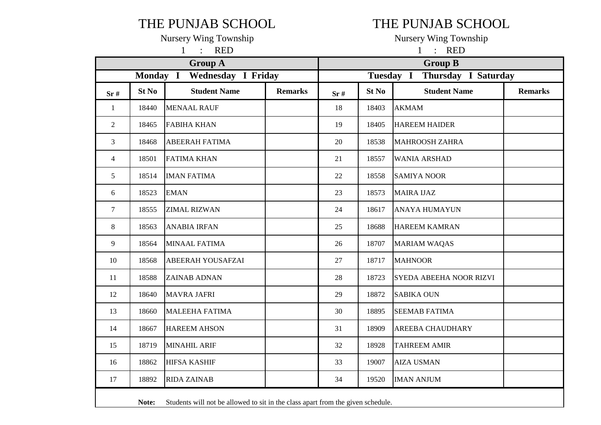## THE PUNJAB SCHOOL THE PUNJAB SCHOOL

1 : RED 1 : RED

|                | <b>Group A</b> |                                                                                 |                |     | <b>Group B</b> |                         |                |  |  |  |
|----------------|----------------|---------------------------------------------------------------------------------|----------------|-----|----------------|-------------------------|----------------|--|--|--|
|                | Monday I       | <b>Wednesday I Friday</b>                                                       |                |     | Tuesday I      | Thursday I Saturday     |                |  |  |  |
| Sr#            | St No          | <b>Student Name</b>                                                             | <b>Remarks</b> | Sr# | St No          | <b>Student Name</b>     | <b>Remarks</b> |  |  |  |
| $\mathbf{1}$   | 18440          | <b>MENAAL RAUF</b>                                                              |                | 18  | 18403          | <b>AKMAM</b>            |                |  |  |  |
| 2              | 18465          | <b>FABIHA KHAN</b>                                                              |                | 19  | 18405          | <b>HAREEM HAIDER</b>    |                |  |  |  |
| 3              | 18468          | <b>ABEERAH FATIMA</b>                                                           |                | 20  | 18538          | <b>MAHROOSH ZAHRA</b>   |                |  |  |  |
| $\overline{4}$ | 18501          | <b>FATIMA KHAN</b>                                                              |                | 21  | 18557          | <b>WANIA ARSHAD</b>     |                |  |  |  |
| 5              | 18514          | <b>IMAN FATIMA</b>                                                              |                | 22  | 18558          | <b>SAMIYA NOOR</b>      |                |  |  |  |
| 6              | 18523          | <b>EMAN</b>                                                                     |                | 23  | 18573          | <b>MAIRA IJAZ</b>       |                |  |  |  |
| $\tau$         | 18555          | <b>ZIMAL RIZWAN</b>                                                             |                | 24  | 18617          | <b>ANAYA HUMAYUN</b>    |                |  |  |  |
| 8              | 18563          | <b>ANABIA IRFAN</b>                                                             |                | 25  | 18688          | <b>HAREEM KAMRAN</b>    |                |  |  |  |
| 9              | 18564          | <b>MINAAL FATIMA</b>                                                            |                | 26  | 18707          | <b>MARIAM WAQAS</b>     |                |  |  |  |
| 10             | 18568          | <b>ABEERAH YOUSAFZAI</b>                                                        |                | 27  | 18717          | <b>MAHNOOR</b>          |                |  |  |  |
| 11             | 18588          | <b>ZAINAB ADNAN</b>                                                             |                | 28  | 18723          | SYEDA ABEEHA NOOR RIZVI |                |  |  |  |
| 12             | 18640          | <b>MAVRA JAFRI</b>                                                              |                | 29  | 18872          | <b>SABIKA OUN</b>       |                |  |  |  |
| 13             | 18660          | <b>MALEEHA FATIMA</b>                                                           |                | 30  | 18895          | <b>SEEMAB FATIMA</b>    |                |  |  |  |
| 14             | 18667          | <b>HAREEM AHSON</b>                                                             |                | 31  | 18909          | AREEBA CHAUDHARY        |                |  |  |  |
| 15             | 18719          | <b>MINAHIL ARIF</b>                                                             |                | 32  | 18928          | <b>TAHREEM AMIR</b>     |                |  |  |  |
| 16             | 18862          | <b>HIFSA KASHIF</b>                                                             |                | 33  | 19007          | <b>AIZA USMAN</b>       |                |  |  |  |
| 17             | 18892          | <b>RIDA ZAINAB</b>                                                              |                | 34  | 19520          | <b>IMAN ANJUM</b>       |                |  |  |  |
|                | Note:          | Students will not be allowed to sit in the class apart from the given schedule. |                |     |                |                         |                |  |  |  |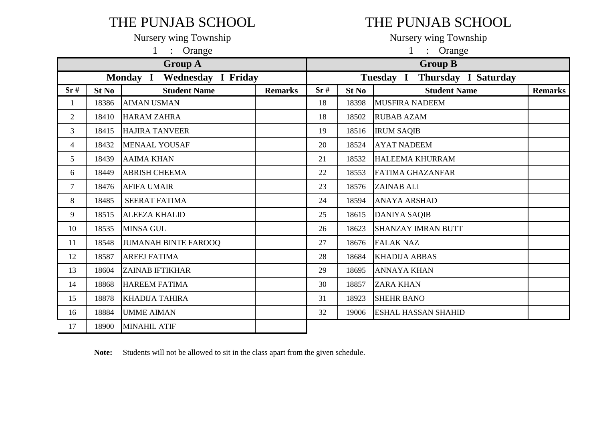# THE PUNJAB SCHOOL THE PUNJAB SCHOOL

|                |       | Orange<br>1                                  |                | $\mathbf{1}$<br>Orange<br>$\mathbb{R}^{\mathbb{Z}}$ |       |                            |                |  |  |  |
|----------------|-------|----------------------------------------------|----------------|-----------------------------------------------------|-------|----------------------------|----------------|--|--|--|
|                |       | <b>Group A</b>                               |                | <b>Group B</b>                                      |       |                            |                |  |  |  |
|                |       | <b>Wednesday I Friday</b><br><b>Monday I</b> |                | <b>Thursday I Saturday</b><br>Tuesday I             |       |                            |                |  |  |  |
| Sr#            | St No | <b>Student Name</b>                          | <b>Remarks</b> | Sr#                                                 | St No | <b>Student Name</b>        | <b>Remarks</b> |  |  |  |
|                | 18386 | <b>AIMAN USMAN</b>                           |                | 18                                                  | 18398 | <b>MUSFIRA NADEEM</b>      |                |  |  |  |
| $\overline{2}$ | 18410 | <b>HARAM ZAHRA</b>                           |                | 18                                                  | 18502 | <b>RUBAB AZAM</b>          |                |  |  |  |
| 3              | 18415 | <b>HAJIRA TANVEER</b>                        |                | 19                                                  | 18516 | <b>IRUM SAQIB</b>          |                |  |  |  |
| 4              | 18432 | <b>MENAAL YOUSAF</b>                         |                | 20                                                  | 18524 | <b>AYAT NADEEM</b>         |                |  |  |  |
| 5              | 18439 | <b>AAIMA KHAN</b>                            |                | 21                                                  | 18532 | <b>HALEEMA KHURRAM</b>     |                |  |  |  |
| 6              | 18449 | <b>ABRISH CHEEMA</b>                         |                | 22                                                  | 18553 | <b>FATIMA GHAZANFAR</b>    |                |  |  |  |
| $\overline{7}$ | 18476 | <b>AFIFA UMAIR</b>                           |                | 23                                                  | 18576 | <b>ZAINAB ALI</b>          |                |  |  |  |
| 8              | 18485 | <b>SEERAT FATIMA</b>                         |                | 24                                                  | 18594 | <b>ANAYA ARSHAD</b>        |                |  |  |  |
| 9              | 18515 | <b>ALEEZA KHALID</b>                         |                | 25                                                  | 18615 | <b>DANIYA SAQIB</b>        |                |  |  |  |
| 10             | 18535 | <b>MINSA GUL</b>                             |                | 26                                                  | 18623 | <b>SHANZAY IMRAN BUTT</b>  |                |  |  |  |
| 11             | 18548 | <b>JUMANAH BINTE FAROOQ</b>                  |                | 27                                                  | 18676 | <b>FALAK NAZ</b>           |                |  |  |  |
| 12             | 18587 | <b>AREEJ FATIMA</b>                          |                | 28                                                  | 18684 | <b>KHADIJA ABBAS</b>       |                |  |  |  |
| 13             | 18604 | <b>ZAINAB IFTIKHAR</b>                       |                | 29                                                  | 18695 | <b>ANNAYA KHAN</b>         |                |  |  |  |
| 14             | 18868 | <b>HAREEM FATIMA</b>                         |                | 30                                                  | 18857 | <b>ZARA KHAN</b>           |                |  |  |  |
| 15             | 18878 | <b>KHADIJA TAHIRA</b>                        |                | 31                                                  | 18923 | <b>SHEHR BANO</b>          |                |  |  |  |
| 16             | 18884 | <b>UMME AIMAN</b>                            |                | 32                                                  | 19006 | <b>ESHAL HASSAN SHAHID</b> |                |  |  |  |
| 17             | 18900 | <b>MINAHIL ATIF</b>                          |                |                                                     |       |                            |                |  |  |  |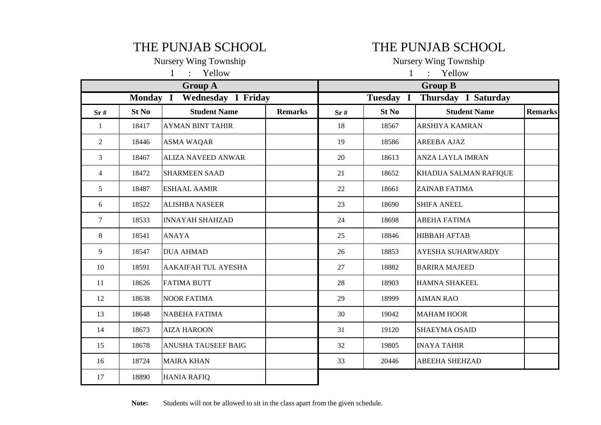## THE PUNJAB SCHOOL THE PUNJAB SCHOOL

Nursery Wing Township Nursery Wing Township 1 : Yellow 1 : Yellow

|                |          | <b>Group A</b>            |                | <b>Group B</b> |           |                          |                |  |  |
|----------------|----------|---------------------------|----------------|----------------|-----------|--------------------------|----------------|--|--|
|                | Monday I | <b>Wednesday I Friday</b> |                |                | Tuesday I | Thursday I Saturday      |                |  |  |
| Sr#            | St No    | <b>Student Name</b>       | <b>Remarks</b> | Sr#            | St No     | <b>Student Name</b>      | <b>Remarks</b> |  |  |
| 1              | 18417    | <b>AYMAN BINT TAHIR</b>   |                | 18             | 18567     | ARSHIYA KAMRAN           |                |  |  |
| 2              | 18446    | <b>ASMA WAQAR</b>         |                | 19             | 18586     | <b>AREEBA AJAZ</b>       |                |  |  |
| $\overline{3}$ | 18467    | <b>ALIZA NAVEED ANWAR</b> |                | 20             | 18613     | <b>ANZA LAYLA IMRAN</b>  |                |  |  |
| 4              | 18472    | <b>SHARMEEN SAAD</b>      |                | 21             | 18652     | KHADIJA SALMAN RAFIQUE   |                |  |  |
| 5              | 18487    | <b>ESHAAL AAMIR</b>       |                | 22             | 18661     | <b>ZAINAB FATIMA</b>     |                |  |  |
| 6              | 18522    | <b>ALISHBA NASEER</b>     |                | 23             | 18690     | <b>SHIFA ANEEL</b>       |                |  |  |
| 7              | 18533    | <b>INNAYAH SHAHZAD</b>    |                | 24             | 18698     | <b>ABEHA FATIMA</b>      |                |  |  |
| 8              | 18541    | <b>ANAYA</b>              |                | 25             | 18846     | <b>HIBBAH AFTAB</b>      |                |  |  |
| 9              | 18547    | <b>DUA AHMAD</b>          |                | 26             | 18853     | <b>AYESHA SUHARWARDY</b> |                |  |  |
| 10             | 18591    | AAKAIFAH TUL AYESHA       |                | 27             | 18882     | <b>BARIRA MAJEED</b>     |                |  |  |
| 11             | 18626    | <b>FATIMA BUTT</b>        |                | 28             | 18903     | <b>HAMNA SHAKEEL</b>     |                |  |  |
| 12             | 18638    | <b>NOOR FATIMA</b>        |                | 29             | 18999     | <b>AIMAN RAO</b>         |                |  |  |
| 13             | 18648    | <b>NABEHA FATIMA</b>      |                | 30             | 19042     | <b>MAHAM HOOR</b>        |                |  |  |
| 14             | 18673    | <b>AIZA HAROON</b>        |                | 31             | 19120     | <b>SHAEYMA OSAID</b>     |                |  |  |
| 15             | 18678    | ANUSHA TAUSEEF BAIG       |                | 32             | 19805     | <b>INAYA TAHIR</b>       |                |  |  |
| 16             | 18724    | <b>MAIRA KHAN</b>         |                | 33             | 20446     | <b>ABEEHA SHEHZAD</b>    |                |  |  |
| 17             | 18890    | <b>HANIA RAFIQ</b>        |                |                |           |                          |                |  |  |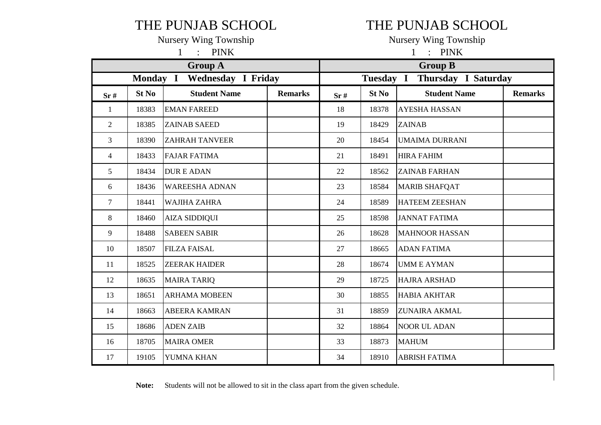## THE PUNJAB SCHOOL THE PUNJAB SCHOOL

1 : PINK 1 : PINK

|                |          | <b>Group A</b>        |                | <b>Group B</b> |           |                       |                |  |
|----------------|----------|-----------------------|----------------|----------------|-----------|-----------------------|----------------|--|
|                | Monday I | Wednesday I Friday    |                |                | Tuesday I | Thursday I Saturday   |                |  |
| Sr#            | St No    | <b>Student Name</b>   | <b>Remarks</b> | Sr#            | St No     | <b>Student Name</b>   | <b>Remarks</b> |  |
| 1              | 18383    | <b>EMAN FAREED</b>    |                | 18             | 18378     | <b>AYESHA HASSAN</b>  |                |  |
| $\overline{2}$ | 18385    | <b>ZAINAB SAEED</b>   |                | 19             | 18429     | <b>ZAINAB</b>         |                |  |
| 3              | 18390    | <b>ZAHRAH TANVEER</b> |                | 20             | 18454     | <b>UMAIMA DURRANI</b> |                |  |
| 4              | 18433    | <b>FAJAR FATIMA</b>   |                | 21             | 18491     | <b>HIRA FAHIM</b>     |                |  |
| 5              | 18434    | <b>DURE ADAN</b>      |                | 22             | 18562     | <b>ZAINAB FARHAN</b>  |                |  |
| 6              | 18436    | <b>WAREESHA ADNAN</b> |                | 23             | 18584     | <b>MARIB SHAFQAT</b>  |                |  |
| $\tau$         | 18441    | <b>WAJIHA ZAHRA</b>   |                | 24             | 18589     | <b>HATEEM ZEESHAN</b> |                |  |
| 8              | 18460    | <b>AIZA SIDDIQUI</b>  |                | 25             | 18598     | <b>JANNAT FATIMA</b>  |                |  |
| 9              | 18488    | <b>SABEEN SABIR</b>   |                | 26             | 18628     | <b>MAHNOOR HASSAN</b> |                |  |
| 10             | 18507    | <b>FILZA FAISAL</b>   |                | 27             | 18665     | <b>ADAN FATIMA</b>    |                |  |
| 11             | 18525    | <b>ZEERAK HAIDER</b>  |                | 28             | 18674     | <b>UMME AYMAN</b>     |                |  |
| 12             | 18635    | <b>MAIRA TARIQ</b>    |                | 29             | 18725     | <b>HAJRA ARSHAD</b>   |                |  |
| 13             | 18651    | <b>ARHAMA MOBEEN</b>  |                | 30             | 18855     | <b>HABIA AKHTAR</b>   |                |  |
| 14             | 18663    | <b>ABEERA KAMRAN</b>  |                | 31             | 18859     | <b>ZUNAIRA AKMAL</b>  |                |  |
| 15             | 18686    | <b>ADEN ZAIB</b>      |                | 32             | 18864     | <b>NOOR UL ADAN</b>   |                |  |
| 16             | 18705    | <b>MAIRA OMER</b>     |                | 33             | 18873     | <b>MAHUM</b>          |                |  |
| 17             | 19105    | YUMNA KHAN            |                | 34             | 18910     | <b>ABRISH FATIMA</b>  |                |  |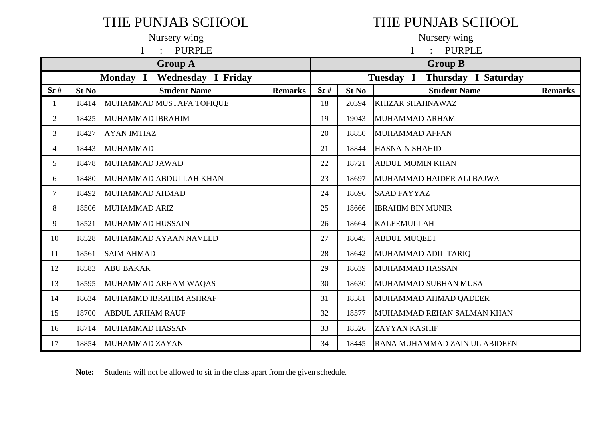# THE PUNJAB SCHOOL THE PUNJAB SCHOOL

|                |                             | Nursery wing             |                | Nursery wing   |                  |                                  |                |  |  |  |
|----------------|-----------------------------|--------------------------|----------------|----------------|------------------|----------------------------------|----------------|--|--|--|
|                |                             | <b>PURPLE</b>            |                | <b>PURPLE</b>  |                  |                                  |                |  |  |  |
|                |                             | <b>Group A</b>           |                | <b>Group B</b> |                  |                                  |                |  |  |  |
|                | Monday I Wednesday I Friday |                          |                |                |                  | Thursday I Saturday<br>Tuesday I |                |  |  |  |
| Sr#            | St No                       | <b>Student Name</b>      | <b>Remarks</b> | Sr#            | St <sub>No</sub> | <b>Student Name</b>              | <b>Remarks</b> |  |  |  |
|                | 18414                       | MUHAMMAD MUSTAFA TOFIQUE |                | 18             | 20394            | <b>KHIZAR SHAHNAWAZ</b>          |                |  |  |  |
| $\overline{2}$ | 18425                       | MUHAMMAD IBRAHIM         |                | 19             | 19043            | MUHAMMAD ARHAM                   |                |  |  |  |
| 3              | 18427                       | <b>AYAN IMTIAZ</b>       |                | 20             | 18850            | <b>MUHAMMAD AFFAN</b>            |                |  |  |  |
| 4              | 18443                       | MUHAMMAD                 |                | 21             | 18844            | <b>HASNAIN SHAHID</b>            |                |  |  |  |
| 5              | 18478                       | MUHAMMAD JAWAD           |                | 22             | 18721            | <b>ABDUL MOMIN KHAN</b>          |                |  |  |  |
| 6              | 18480                       | MUHAMMAD ABDULLAH KHAN   |                | 23             | 18697            | MUHAMMAD HAIDER ALI BAJWA        |                |  |  |  |
| $\overline{7}$ | 18492                       | MUHAMMAD AHMAD           |                | 24             | 18696            | <b>SAAD FAYYAZ</b>               |                |  |  |  |
| 8              | 18506                       | <b>MUHAMMAD ARIZ</b>     |                | 25             | 18666            | <b>IBRAHIM BIN MUNIR</b>         |                |  |  |  |
| 9              | 18521                       | MUHAMMAD HUSSAIN         |                | 26             | 18664            | <b>KALEEMULLAH</b>               |                |  |  |  |
| 10             | 18528                       | MUHAMMAD AYAAN NAVEED    |                | 27             | 18645            | <b>ABDUL MUQEET</b>              |                |  |  |  |
| 11             | 18561                       | <b>SAIM AHMAD</b>        |                | 28             | 18642            | MUHAMMAD ADIL TARIQ              |                |  |  |  |
| 12             | 18583                       | <b>ABU BAKAR</b>         |                | 29             | 18639            | MUHAMMAD HASSAN                  |                |  |  |  |
| 13             | 18595                       | MUHAMMAD ARHAM WAQAS     |                | 30             | 18630            | MUHAMMAD SUBHAN MUSA             |                |  |  |  |
| 14             | 18634                       | MUHAMMD IBRAHIM ASHRAF   |                | 31             | 18581            | MUHAMMAD AHMAD QADEER            |                |  |  |  |
| 15             | 18700                       | <b>ABDUL ARHAM RAUF</b>  |                | 32             | 18577            | MUHAMMAD REHAN SALMAN KHAN       |                |  |  |  |
| 16             | 18714                       | MUHAMMAD HASSAN          |                | 33             | 18526            | <b>ZAYYAN KASHIF</b>             |                |  |  |  |
| 17             | 18854                       | MUHAMMAD ZAYAN           |                | 34             | 18445            | RANA MUHAMMAD ZAIN UL ABIDEEN    |                |  |  |  |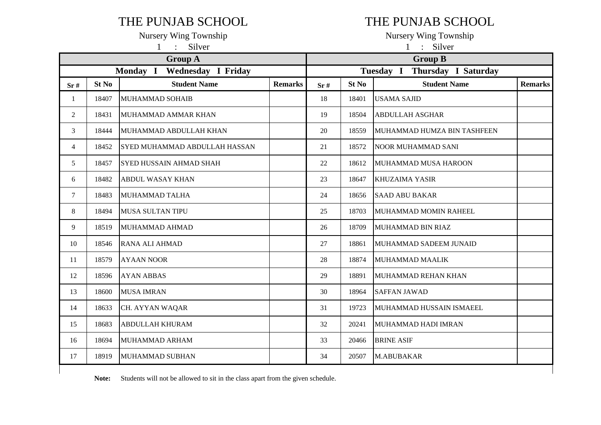### THE PUNJAB SCHOOL THE PUNJAB SCHOOL

1 : Silver

|  | Tunoviy wing Township |
|--|-----------------------|
|  | Silver                |

|                |       | <b>Group A</b>                 |                | <b>Group B</b> |       |                                         |                |  |  |
|----------------|-------|--------------------------------|----------------|----------------|-------|-----------------------------------------|----------------|--|--|
|                |       | Wednesday I Friday<br>Monday I |                |                |       | <b>Thursday I Saturday</b><br>Tuesday I |                |  |  |
| Sr#            | St No | <b>Student Name</b>            | <b>Remarks</b> | Sr#            | St No | <b>Student Name</b>                     | <b>Remarks</b> |  |  |
| $\mathbf{1}$   | 18407 | <b>MUHAMMAD SOHAIB</b>         |                | 18             | 18401 | <b>USAMA SAJID</b>                      |                |  |  |
| $\overline{c}$ | 18431 | MUHAMMAD AMMAR KHAN            |                | 19             | 18504 | <b>ABDULLAH ASGHAR</b>                  |                |  |  |
| 3              | 18444 | MUHAMMAD ABDULLAH KHAN         |                | 20             | 18559 | MUHAMMAD HUMZA BIN TASHFEEN             |                |  |  |
| $\overline{4}$ | 18452 | SYED MUHAMMAD ABDULLAH HASSAN  |                | 21             | 18572 | <b>NOOR MUHAMMAD SANI</b>               |                |  |  |
| 5              | 18457 | <b>SYED HUSSAIN AHMAD SHAH</b> |                | 22             | 18612 | MUHAMMAD MUSA HAROON                    |                |  |  |
| 6              | 18482 | <b>ABDUL WASAY KHAN</b>        |                | 23             | 18647 | <b>KHUZAIMA YASIR</b>                   |                |  |  |
| $\tau$         | 18483 | MUHAMMAD TALHA                 |                | 24             | 18656 | <b>SAAD ABU BAKAR</b>                   |                |  |  |
| 8              | 18494 | <b>MUSA SULTAN TIPU</b>        |                | 25             | 18703 | MUHAMMAD MOMIN RAHEEL                   |                |  |  |
| 9              | 18519 | MUHAMMAD AHMAD                 |                | 26             | 18709 | MUHAMMAD BIN RIAZ                       |                |  |  |
| 10             | 18546 | <b>RANA ALI AHMAD</b>          |                | 27             | 18861 | MUHAMMAD SADEEM JUNAID                  |                |  |  |
| 11             | 18579 | <b>AYAAN NOOR</b>              |                | 28             | 18874 | <b>MUHAMMAD MAALIK</b>                  |                |  |  |
| 12             | 18596 | <b>AYAN ABBAS</b>              |                | 29             | 18891 | MUHAMMAD REHAN KHAN                     |                |  |  |
| 13             | 18600 | <b>MUSA IMRAN</b>              |                | 30             | 18964 | <b>SAFFAN JAWAD</b>                     |                |  |  |
| 14             | 18633 | CH. AYYAN WAQAR                |                | 31             | 19723 | MUHAMMAD HUSSAIN ISMAEEL                |                |  |  |
| 15             | 18683 | <b>ABDULLAH KHURAM</b>         |                | 32             | 20241 | MUHAMMAD HADI IMRAN                     |                |  |  |
| 16             | 18694 | MUHAMMAD ARHAM                 |                | 33             | 20466 | <b>BRINE ASIF</b>                       |                |  |  |
| 17             | 18919 | MUHAMMAD SUBHAN                |                | 34             | 20507 | M.ABUBAKAR                              |                |  |  |
|                |       |                                |                |                |       |                                         |                |  |  |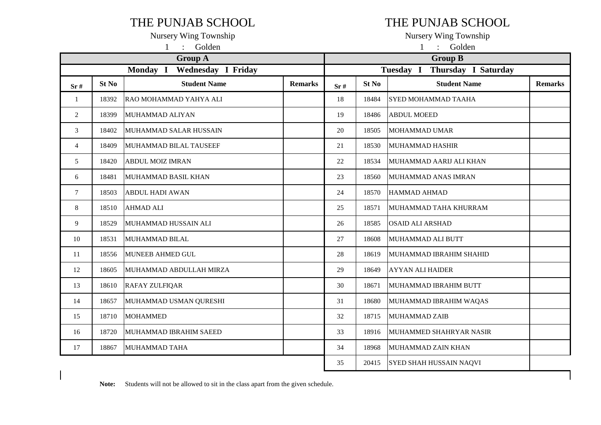### THE PUNJAB SCHOOL THE PUNJAB SCHOOL

|                | Golden<br>$\cdot$<br>$\mathbf{1}$ |                             |                |                |       | Golden<br>$\mathbf{1}$<br>$\bullet$ |                |  |  |  |
|----------------|-----------------------------------|-----------------------------|----------------|----------------|-------|-------------------------------------|----------------|--|--|--|
|                |                                   | <b>Group A</b>              |                | <b>Group B</b> |       |                                     |                |  |  |  |
|                |                                   | Monday I Wednesday I Friday |                |                |       | Tuesday I Thursday I Saturday       |                |  |  |  |
| Sr#            | St No                             | <b>Student Name</b>         | <b>Remarks</b> | Sr#            | St No | <b>Student Name</b>                 | <b>Remarks</b> |  |  |  |
| 1              | 18392                             | RAO MOHAMMAD YAHYA ALI      |                | 18             | 18484 | SYED MOHAMMAD TAAHA                 |                |  |  |  |
| 2              | 18399                             | MUHAMMAD ALIYAN             |                | 19             | 18486 | <b>ABDUL MOEED</b>                  |                |  |  |  |
| 3              | 18402                             | MUHAMMAD SALAR HUSSAIN      |                | 20             | 18505 | <b>MOHAMMAD UMAR</b>                |                |  |  |  |
| $\overline{4}$ | 18409                             | MUHAMMAD BILAL TAUSEEF      |                | 21             | 18530 | <b>MUHAMMAD HASHIR</b>              |                |  |  |  |
| 5              | 18420                             | <b>ABDUL MOIZ IMRAN</b>     |                | 22             | 18534 | MUHAMMAD AARIJ ALI KHAN             |                |  |  |  |
| 6              | 18481                             | <b>MUHAMMAD BASIL KHAN</b>  |                | 23             | 18560 | MUHAMMAD ANAS IMRAN                 |                |  |  |  |
| $\tau$         | 18503                             | <b>ABDUL HADI AWAN</b>      |                | 24             | 18570 | <b>HAMMAD AHMAD</b>                 |                |  |  |  |
| 8              | 18510                             | <b>AHMAD ALI</b>            |                | 25             | 18571 | MUHAMMAD TAHA KHURRAM               |                |  |  |  |
| 9              | 18529                             | MUHAMMAD HUSSAIN ALI        |                | 26             | 18585 | OSAID ALI ARSHAD                    |                |  |  |  |
| 10             | 18531                             | <b>MUHAMMAD BILAL</b>       |                | 27             | 18608 | MUHAMMAD ALI BUTT                   |                |  |  |  |
| 11             | 18556                             | <b>MUNEEB AHMED GUL</b>     |                | 28             | 18619 | MUHAMMAD IBRAHIM SHAHID             |                |  |  |  |
| 12             | 18605                             | MUHAMMAD ABDULLAH MIRZA     |                | 29             | 18649 | <b>AYYAN ALI HAIDER</b>             |                |  |  |  |
| 13             | 18610                             | <b>RAFAY ZULFIQAR</b>       |                | 30             | 18671 | MUHAMMAD IBRAHIM BUTT               |                |  |  |  |
| 14             | 18657                             | MUHAMMAD USMAN QURESHI      |                | 31             | 18680 | MUHAMMAD IBRAHIM WAQAS              |                |  |  |  |
| 15             | 18710                             | <b>MOHAMMED</b>             |                | 32             | 18715 | <b>MUHAMMAD ZAIB</b>                |                |  |  |  |
| 16             | 18720                             | MUHAMMAD IBRAHIM SAEED      |                | 33             | 18916 | MUHAMMED SHAHRYAR NASIR             |                |  |  |  |
| 17             | 18867                             | MUHAMMAD TAHA               |                | 34             | 18968 | MUHAMMAD ZAIN KHAN                  |                |  |  |  |
|                |                                   |                             |                | 35             | 20415 | <b>SYED SHAH HUSSAIN NAQVI</b>      |                |  |  |  |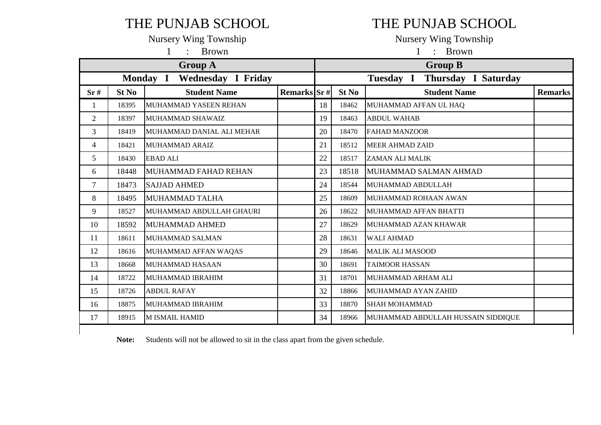# THE PUNJAB SCHOOL THE PUNJAB SCHOOL

1 : Brown 1 : Brown

|                | <b>Group A</b> |                                       |             |    |       | <b>Group B</b>                     |                |  |  |  |  |  |
|----------------|----------------|---------------------------------------|-------------|----|-------|------------------------------------|----------------|--|--|--|--|--|
|                |                | <b>Wednesday I Friday</b><br>Monday I |             |    |       | Thursday I Saturday<br>Tuesday I   |                |  |  |  |  |  |
| Sr#            | St No          | <b>Student Name</b>                   | Remarks Sr# |    | St No | <b>Student Name</b>                | <b>Remarks</b> |  |  |  |  |  |
| 1              | 18395          | MUHAMMAD YASEEN REHAN                 |             | 18 | 18462 | MUHAMMAD AFFAN UL HAQ              |                |  |  |  |  |  |
| $\overline{2}$ | 18397          | MUHAMMAD SHAWAIZ                      |             | 19 | 18463 | <b>ABDUL WAHAB</b>                 |                |  |  |  |  |  |
| $\overline{3}$ | 18419          | MUHAMMAD DANIAL ALI MEHAR             |             | 20 | 18470 | <b>FAHAD MANZOOR</b>               |                |  |  |  |  |  |
| 4              | 18421          | <b>MUHAMMAD ARAIZ</b>                 |             | 21 | 18512 | <b>MEER AHMAD ZAID</b>             |                |  |  |  |  |  |
| 5              | 18430          | <b>EBAD ALI</b>                       |             | 22 | 18517 | <b>ZAMAN ALI MALIK</b>             |                |  |  |  |  |  |
| 6              | 18448          | MUHAMMAD FAHAD REHAN                  |             | 23 | 18518 | MUHAMMAD SALMAN AHMAD              |                |  |  |  |  |  |
| $\overline{7}$ | 18473          | <b>SAJJAD AHMED</b>                   |             | 24 | 18544 | MUHAMMAD ABDULLAH                  |                |  |  |  |  |  |
| 8              | 18495          | MUHAMMAD TALHA                        |             | 25 | 18609 | MUHAMMAD ROHAAN AWAN               |                |  |  |  |  |  |
| 9              | 18527          | MUHAMMAD ABDULLAH GHAURI              |             | 26 | 18622 | MUHAMMAD AFFAN BHATTI              |                |  |  |  |  |  |
| 10             | 18592          | <b>MUHAMMAD AHMED</b>                 |             | 27 | 18629 | MUHAMMAD AZAN KHAWAR               |                |  |  |  |  |  |
| 11             | 18611          | MUHAMMAD SALMAN                       |             | 28 | 18631 | <b>WALI AHMAD</b>                  |                |  |  |  |  |  |
| 12             | 18616          | MUHAMMAD AFFAN WAQAS                  |             | 29 | 18646 | <b>MALIK ALI MASOOD</b>            |                |  |  |  |  |  |
| 13             | 18668          | <b>MUHAMMAD HASAAN</b>                |             | 30 | 18691 | <b>TAIMOOR HASSAN</b>              |                |  |  |  |  |  |
| 14             | 18722          | MUHAMMAD IBRAHIM                      |             | 31 | 18701 | MUHAMMAD ARHAM ALI                 |                |  |  |  |  |  |
| 15             | 18726          | <b>ABDUL RAFAY</b>                    |             | 32 | 18866 | MUHAMMAD AYAN ZAHID                |                |  |  |  |  |  |
| 16             | 18875          | MUHAMMAD IBRAHIM                      |             | 33 | 18870 | <b>SHAH MOHAMMAD</b>               |                |  |  |  |  |  |
| 17             | 18915          | <b>M ISMAIL HAMID</b>                 |             | 34 | 18966 | MUHAMMAD ABDULLAH HUSSAIN SIDDIQUE |                |  |  |  |  |  |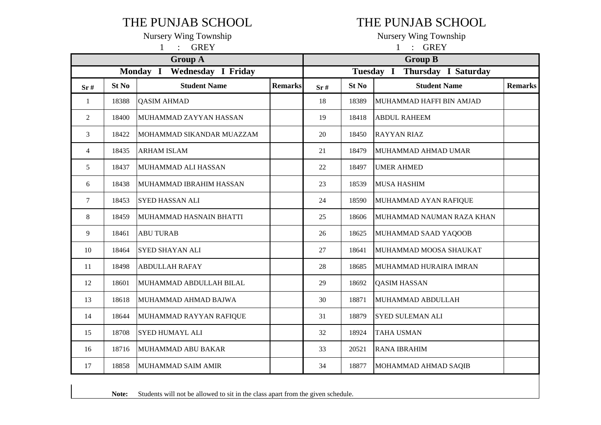### THE PUNJAB SCHOOL THE PUNJAB SCHOOL

Nursery Wing Township<br>
1 : GPEV<br>
1 : GPEV<br>
1 : GPEV

|                | <b>GREY</b><br>$\mathbf{1}$ |                                       |                |                                         | <b>GREY</b><br>$\mathbf{1}$<br>$\bullet$ |                           |                |  |  |  |
|----------------|-----------------------------|---------------------------------------|----------------|-----------------------------------------|------------------------------------------|---------------------------|----------------|--|--|--|
|                |                             | <b>Group A</b>                        |                |                                         |                                          | <b>Group B</b>            |                |  |  |  |
|                |                             | <b>Wednesday I Friday</b><br>Monday I |                | <b>Thursday I Saturday</b><br>Tuesday I |                                          |                           |                |  |  |  |
| Sr#            | St No                       | <b>Student Name</b>                   | <b>Remarks</b> | Sr#                                     | St No                                    | <b>Student Name</b>       | <b>Remarks</b> |  |  |  |
| 1              | 18388                       | <b>QASIM AHMAD</b>                    |                | 18                                      | 18389                                    | MUHAMMAD HAFFI BIN AMJAD  |                |  |  |  |
| 2              | 18400                       | MUHAMMAD ZAYYAN HASSAN                |                | 19                                      | 18418                                    | <b>ABDUL RAHEEM</b>       |                |  |  |  |
| 3              | 18422                       | MOHAMMAD SIKANDAR MUAZZAM             |                | 20                                      | 18450                                    | <b>RAYYAN RIAZ</b>        |                |  |  |  |
| $\overline{4}$ | 18435                       | <b>ARHAM ISLAM</b>                    |                | 21                                      | 18479                                    | MUHAMMAD AHMAD UMAR       |                |  |  |  |
| 5              | 18437                       | MUHAMMAD ALI HASSAN                   |                | 22                                      | 18497                                    | <b>UMER AHMED</b>         |                |  |  |  |
| 6              | 18438                       | MUHAMMAD IBRAHIM HASSAN               |                | 23                                      | 18539                                    | <b>MUSA HASHIM</b>        |                |  |  |  |
| $\tau$         | 18453                       | SYED HASSAN ALI                       |                | 24                                      | 18590                                    | MUHAMMAD AYAN RAFIQUE     |                |  |  |  |
| 8              | 18459                       | MUHAMMAD HASNAIN BHATTI               |                | 25                                      | 18606                                    | MUHAMMAD NAUMAN RAZA KHAN |                |  |  |  |
| 9              | 18461                       | <b>ABU TURAB</b>                      |                | 26                                      | 18625                                    | MUHAMMAD SAAD YAQOOB      |                |  |  |  |
| 10             | 18464                       | SYED SHAYAN ALI                       |                | 27                                      | 18641                                    | MUHAMMAD MOOSA SHAUKAT    |                |  |  |  |
| 11             | 18498                       | <b>ABDULLAH RAFAY</b>                 |                | 28                                      | 18685                                    | MUHAMMAD HURAIRA IMRAN    |                |  |  |  |
| 12             | 18601                       | MUHAMMAD ABDULLAH BILAL               |                | 29                                      | 18692                                    | <b>QASIM HASSAN</b>       |                |  |  |  |
| 13             | 18618                       | MUHAMMAD AHMAD BAJWA                  |                | 30                                      | 18871                                    | MUHAMMAD ABDULLAH         |                |  |  |  |
| 14             | 18644                       | MUHAMMAD RAYYAN RAFIQUE               |                | 31                                      | 18879                                    | <b>SYED SULEMAN ALI</b>   |                |  |  |  |
| 15             | 18708                       | <b>SYED HUMAYL ALI</b>                |                | 32                                      | 18924                                    | <b>TAHA USMAN</b>         |                |  |  |  |
| 16             | 18716                       | MUHAMMAD ABU BAKAR                    |                | 33                                      | 20521                                    | <b>RANA IBRAHIM</b>       |                |  |  |  |
| 17             | 18858                       | MUHAMMAD SAIM AMIR                    |                | 34                                      | 18877                                    | MOHAMMAD AHMAD SAQIB      |                |  |  |  |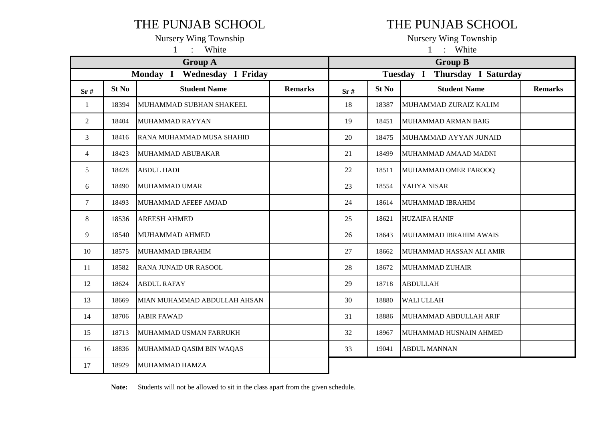### THE PUNJAB SCHOOL THE PUNJAB SCHOOL

1 : White 1 : White

| <b>Group A</b>                        |       |                              |                |     | <b>Group B</b>                   |                          |                |  |
|---------------------------------------|-------|------------------------------|----------------|-----|----------------------------------|--------------------------|----------------|--|
| <b>Wednesday I Friday</b><br>Monday I |       |                              |                |     | Thursday I Saturday<br>Tuesday I |                          |                |  |
| Sr#                                   | St No | <b>Student Name</b>          | <b>Remarks</b> | Sr# | St No                            | <b>Student Name</b>      | <b>Remarks</b> |  |
| 1                                     | 18394 | MUHAMMAD SUBHAN SHAKEEL      |                | 18  | 18387                            | MUHAMMAD ZURAIZ KALIM    |                |  |
| $\overline{2}$                        | 18404 | MUHAMMAD RAYYAN              |                | 19  | 18451                            | MUHAMMAD ARMAN BAIG      |                |  |
| 3                                     | 18416 | RANA MUHAMMAD MUSA SHAHID    |                | 20  | 18475                            | MUHAMMAD AYYAN JUNAID    |                |  |
| 4                                     | 18423 | <b>MUHAMMAD ABUBAKAR</b>     |                | 21  | 18499                            | MUHAMMAD AMAAD MADNI     |                |  |
| 5                                     | 18428 | <b>ABDUL HADI</b>            |                | 22  | 18511                            | MUHAMMAD OMER FAROOQ     |                |  |
| 6                                     | 18490 | <b>MUHAMMAD UMAR</b>         |                | 23  | 18554                            | YAHYA NISAR              |                |  |
| $\tau$                                | 18493 | MUHAMMAD AFEEF AMJAD         |                | 24  | 18614                            | MUHAMMAD IBRAHIM         |                |  |
| 8                                     | 18536 | <b>AREESH AHMED</b>          |                | 25  | 18621                            | <b>HUZAIFA HANIF</b>     |                |  |
| 9                                     | 18540 | <b>MUHAMMAD AHMED</b>        |                | 26  | 18643                            | MUHAMMAD IBRAHIM AWAIS   |                |  |
| 10                                    | 18575 | MUHAMMAD IBRAHIM             |                | 27  | 18662                            | MUHAMMAD HASSAN ALI AMIR |                |  |
| 11                                    | 18582 | RANA JUNAID UR RASOOL        |                | 28  | 18672                            | MUHAMMAD ZUHAIR          |                |  |
| 12                                    | 18624 | <b>ABDUL RAFAY</b>           |                | 29  | 18718                            | <b>ABDULLAH</b>          |                |  |
| 13                                    | 18669 | MIAN MUHAMMAD ABDULLAH AHSAN |                | 30  | 18880                            | <b>WALI ULLAH</b>        |                |  |
| 14                                    | 18706 | <b>JABIR FAWAD</b>           |                | 31  | 18886                            | MUHAMMAD ABDULLAH ARIF   |                |  |
| 15                                    | 18713 | MUHAMMAD USMAN FARRUKH       |                | 32  | 18967                            | MUHAMMAD HUSNAIN AHMED   |                |  |
| 16                                    | 18836 | MUHAMMAD QASIM BIN WAQAS     |                | 33  | 19041                            | <b>ABDUL MANNAN</b>      |                |  |
| 17                                    | 18929 | MUHAMMAD HAMZA               |                |     |                                  |                          |                |  |